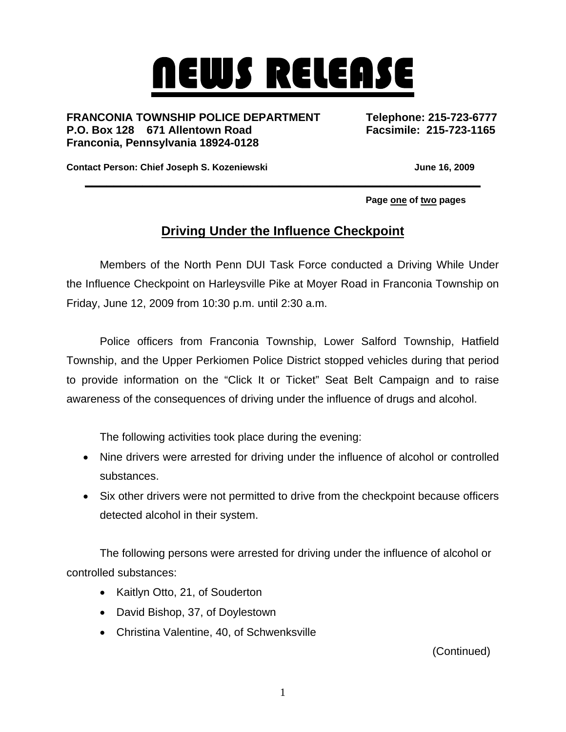## NEWS RELEASE

**FRANCONIA TOWNSHIP POLICE DEPARTMENT Telephone: 215-723-6777 P.O. Box 128 671 Allentown Road Facsimile: 215-723-1165 Franconia, Pennsylvania 18924-0128** 

Contact Person: Chief Joseph S. Kozeniewski **Grammann Contact Person: Chief Joseph S. Kozeniewski** 

 **Page one of two pages** 

## **Driving Under the Influence Checkpoint**

**\_\_\_\_\_\_\_\_\_\_\_\_\_\_\_\_\_\_\_\_\_\_\_\_\_\_\_\_\_\_\_\_\_\_\_\_\_\_\_\_\_\_\_\_\_\_\_\_\_\_\_\_\_\_\_**

Members of the North Penn DUI Task Force conducted a Driving While Under the Influence Checkpoint on Harleysville Pike at Moyer Road in Franconia Township on Friday, June 12, 2009 from 10:30 p.m. until 2:30 a.m.

Police officers from Franconia Township, Lower Salford Township, Hatfield Township, and the Upper Perkiomen Police District stopped vehicles during that period to provide information on the "Click It or Ticket" Seat Belt Campaign and to raise awareness of the consequences of driving under the influence of drugs and alcohol.

The following activities took place during the evening:

- Nine drivers were arrested for driving under the influence of alcohol or controlled substances.
- Six other drivers were not permitted to drive from the checkpoint because officers detected alcohol in their system.

The following persons were arrested for driving under the influence of alcohol or controlled substances:

- Kaitlyn Otto, 21, of Souderton
- David Bishop, 37, of Doylestown
- Christina Valentine, 40, of Schwenksville

(Continued)